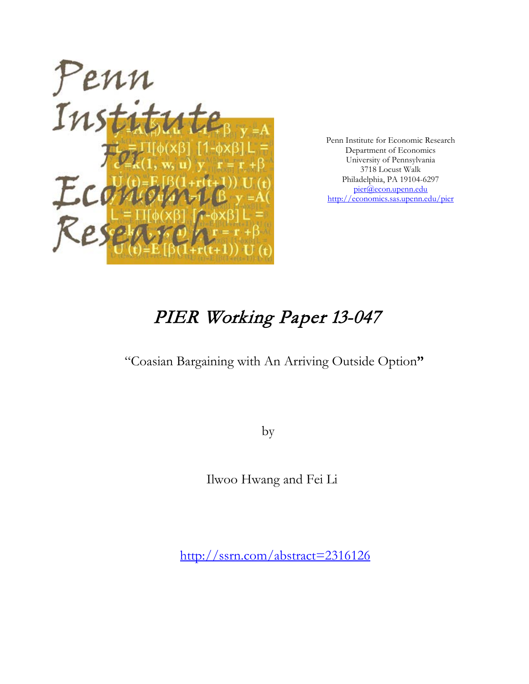

Penn Institute for Economic Research Department of Economics University of Pennsylvania 3718 Locust Walk Philadelphia, PA 19104-6297 [pier@econ.upenn.edu](mailto:pier@econ.upenn.edu) <http://economics.sas.upenn.edu/pier>

# PIER Working Paper 13-047

## "Coasian Bargaining with An Arriving Outside Option**"**

by

Ilwoo Hwang and Fei Li

[http://ssrn.com/abstract=2](http://ssrn.com/abstract_id=)316126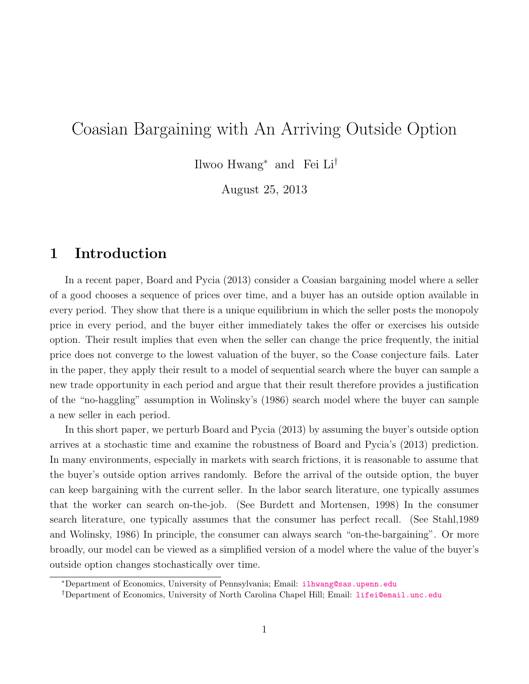## Coasian Bargaining with An Arriving Outside Option

Ilwoo Hwang<sup>∗</sup> and Fei Li†

August 25, 2013

## 1 Introduction

In a recent paper, Board and Pycia (2013) consider a Coasian bargaining model where a seller of a good chooses a sequence of prices over time, and a buyer has an outside option available in every period. They show that there is a unique equilibrium in which the seller posts the monopoly price in every period, and the buyer either immediately takes the offer or exercises his outside option. Their result implies that even when the seller can change the price frequently, the initial price does not converge to the lowest valuation of the buyer, so the Coase conjecture fails. Later in the paper, they apply their result to a model of sequential search where the buyer can sample a new trade opportunity in each period and argue that their result therefore provides a justification of the "no-haggling" assumption in Wolinsky's (1986) search model where the buyer can sample a new seller in each period.

In this short paper, we perturb Board and Pycia (2013) by assuming the buyer's outside option arrives at a stochastic time and examine the robustness of Board and Pycia's (2013) prediction. In many environments, especially in markets with search frictions, it is reasonable to assume that the buyer's outside option arrives randomly. Before the arrival of the outside option, the buyer can keep bargaining with the current seller. In the labor search literature, one typically assumes that the worker can search on-the-job. (See Burdett and Mortensen, 1998) In the consumer search literature, one typically assumes that the consumer has perfect recall. (See Stahl,1989 and Wolinsky, 1986) In principle, the consumer can always search "on-the-bargaining". Or more broadly, our model can be viewed as a simplified version of a model where the value of the buyer's outside option changes stochastically over time.

<sup>∗</sup>Department of Economics, University of Pennsylvania; Email: [ilhwang@sas.upenn.edu](mailto:lilhwang@sas.upenn.edu)

<sup>†</sup>Department of Economics, University of North Carolina Chapel Hill; Email: [lifei@email.unc.edu](mailto:lifei@email.unc.edu)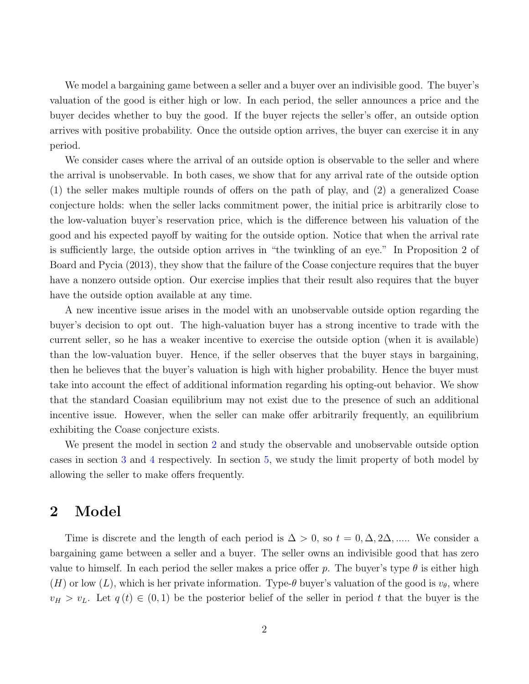We model a bargaining game between a seller and a buyer over an indivisible good. The buyer's valuation of the good is either high or low. In each period, the seller announces a price and the buyer decides whether to buy the good. If the buyer rejects the seller's offer, an outside option arrives with positive probability. Once the outside option arrives, the buyer can exercise it in any period.

We consider cases where the arrival of an outside option is observable to the seller and where the arrival is unobservable. In both cases, we show that for any arrival rate of the outside option (1) the seller makes multiple rounds of offers on the path of play, and (2) a generalized Coase conjecture holds: when the seller lacks commitment power, the initial price is arbitrarily close to the low-valuation buyer's reservation price, which is the difference between his valuation of the good and his expected payoff by waiting for the outside option. Notice that when the arrival rate is sufficiently large, the outside option arrives in "the twinkling of an eye." In Proposition 2 of Board and Pycia (2013), they show that the failure of the Coase conjecture requires that the buyer have a nonzero outside option. Our exercise implies that their result also requires that the buyer have the outside option available at any time.

A new incentive issue arises in the model with an unobservable outside option regarding the buyer's decision to opt out. The high-valuation buyer has a strong incentive to trade with the current seller, so he has a weaker incentive to exercise the outside option (when it is available) than the low-valuation buyer. Hence, if the seller observes that the buyer stays in bargaining, then he believes that the buyer's valuation is high with higher probability. Hence the buyer must take into account the effect of additional information regarding his opting-out behavior. We show that the standard Coasian equilibrium may not exist due to the presence of such an additional incentive issue. However, when the seller can make offer arbitrarily frequently, an equilibrium exhibiting the Coase conjecture exists.

We present the model in section [2](#page-2-0) and study the observable and unobservable outside option cases in section [3](#page-4-0) and [4](#page-5-0) respectively. In section [5,](#page-8-0) we study the limit property of both model by allowing the seller to make offers frequently.

## <span id="page-2-0"></span>2 Model

Time is discrete and the length of each period is  $\Delta > 0$ , so  $t = 0, \Delta, 2\Delta, \dots$ . We consider a bargaining game between a seller and a buyer. The seller owns an indivisible good that has zero value to himself. In each period the seller makes a price offer p. The buyer's type  $\theta$  is either high (H) or low (L), which is her private information. Type- $\theta$  buyer's valuation of the good is  $v_{\theta}$ , where  $v_H > v_L$ . Let  $q(t) \in (0,1)$  be the posterior belief of the seller in period t that the buyer is the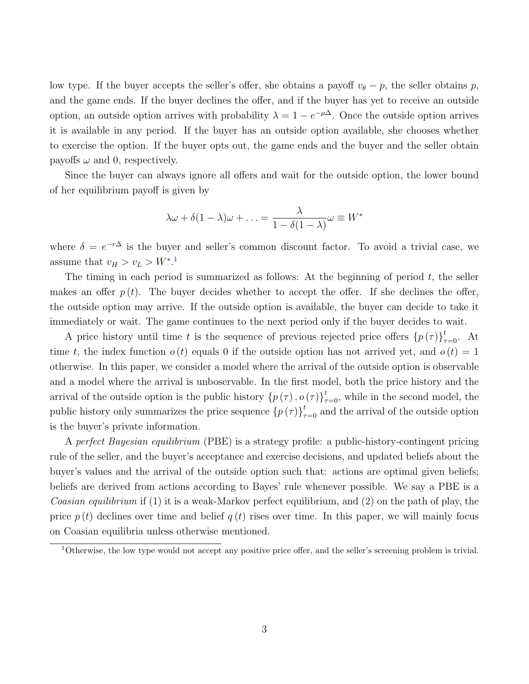low type. If the buyer accepts the seller's offer, she obtains a payoff  $v_{\theta} - p$ , the seller obtains p, and the game ends. If the buyer declines the offer, and if the buyer has yet to receive an outside option, an outside option arrives with probability  $\lambda = 1 - e^{-\mu \Delta}$ . Once the outside option arrives it is available in any period. If the buyer has an outside option available, she chooses whether to exercise the option. If the buyer opts out, the game ends and the buyer and the seller obtain payoffs  $\omega$  and 0, respectively.

Since the buyer can always ignore all offers and wait for the outside option, the lower bound of her equilibrium payoff is given by

$$
\lambda \omega + \delta (1 - \lambda) \omega + \ldots = \frac{\lambda}{1 - \delta (1 - \lambda)} \omega \equiv W^*
$$

where  $\delta = e^{-r\Delta}$  is the buyer and seller's common discount factor. To avoid a trivial case, we assume that  $v_H > v_L > W^*$ .<sup>[1](#page-3-0)</sup>

The timing in each period is summarized as follows: At the beginning of period  $t$ , the seller makes an offer  $p(t)$ . The buyer decides whether to accept the offer. If she declines the offer, the outside option may arrive. If the outside option is available, the buyer can decide to take it immediately or wait. The game continues to the next period only if the buyer decides to wait.

A price history until time t is the sequence of previous rejected price offers  $\{p(\tau)\}_{\tau=0}^t$ . At time t, the index function  $o(t)$  equals 0 if the outside option has not arrived yet, and  $o(t) = 1$ otherwise. In this paper, we consider a model where the arrival of the outside option is observable and a model where the arrival is unboservable. In the first model, both the price history and the arrival of the outside option is the public history  ${p(\tau), o(\tau)}_{\tau=0}^t$ , while in the second model, the public history only summarizes the price sequence  $\{p(\tau)\}_{\tau=0}^t$  and the arrival of the outside option is the buyer's private information.

A perfect Bayesian equilibrium (PBE) is a strategy profile: a public-history-contingent pricing rule of the seller, and the buyer's acceptance and exercise decisions, and updated beliefs about the buyer's values and the arrival of the outside option such that: actions are optimal given beliefs; beliefs are derived from actions according to Bayes' rule whenever possible. We say a PBE is a *Coasian equilibrium* if (1) it is a weak-Markov perfect equilibrium, and (2) on the path of play, the price  $p(t)$  declines over time and belief  $q(t)$  rises over time. In this paper, we will mainly focus on Coasian equilibria unless otherwise mentioned.

<span id="page-3-0"></span><sup>1</sup>Otherwise, the low type would not accept any positive price offer, and the seller's screening problem is trivial.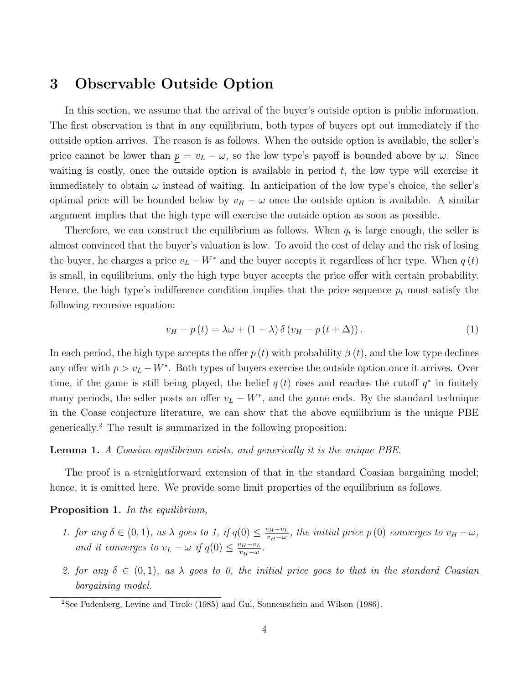### <span id="page-4-0"></span>3 Observable Outside Option

In this section, we assume that the arrival of the buyer's outside option is public information. The first observation is that in any equilibrium, both types of buyers opt out immediately if the outside option arrives. The reason is as follows. When the outside option is available, the seller's price cannot be lower than  $p = v_L - \omega$ , so the low type's payoff is bounded above by  $\omega$ . Since waiting is costly, once the outside option is available in period  $t$ , the low type will exercise it immediately to obtain  $\omega$  instead of waiting. In anticipation of the low type's choice, the seller's optimal price will be bounded below by  $v_H - \omega$  once the outside option is available. A similar argument implies that the high type will exercise the outside option as soon as possible.

Therefore, we can construct the equilibrium as follows. When  $q_t$  is large enough, the seller is almost convinced that the buyer's valuation is low. To avoid the cost of delay and the risk of losing the buyer, he charges a price  $v_L - W^*$  and the buyer accepts it regardless of her type. When  $q(t)$ is small, in equilibrium, only the high type buyer accepts the price offer with certain probability. Hence, the high type's indifference condition implies that the price sequence  $p_t$  must satisfy the following recursive equation:

$$
v_H - p(t) = \lambda \omega + (1 - \lambda) \delta \left( v_H - p(t + \Delta) \right). \tag{1}
$$

In each period, the high type accepts the offer  $p(t)$  with probability  $\beta(t)$ , and the low type declines any offer with  $p > v_L - W^*$ . Both types of buyers exercise the outside option once it arrives. Over time, if the game is still being played, the belief  $q(t)$  rises and reaches the cutoff  $q^*$  in finitely many periods, the seller posts an offer  $v_L - W^*$ , and the game ends. By the standard technique in the Coase conjecture literature, we can show that the above equilibrium is the unique PBE generically.[2](#page-4-1) The result is summarized in the following proposition:

#### Lemma 1. A Coasian equilibrium exists, and generically it is the unique PBE.

The proof is a straightforward extension of that in the standard Coasian bargaining model; hence, it is omitted here. We provide some limit properties of the equilibrium as follows.

#### <span id="page-4-2"></span>Proposition 1. In the equilibrium,

- 1. for any  $\delta \in (0,1)$ , as  $\lambda$  goes to 1, if  $q(0) \leq \frac{v_H v_L}{v_H \epsilon}$  $v_H-v_L$ , the initial price  $p(0)$  converges to  $v_H-\omega$ , and it converges to  $v_L - \omega$  if  $q(0) \leq \frac{v_H - v_L}{v_H - \omega}$  $\frac{v_H-v_L}{v_H-\omega}$ .
- 2. for any  $\delta \in (0,1)$ , as  $\lambda$  goes to 0, the initial price goes to that in the standard Coasian bargaining model.

<span id="page-4-1"></span><sup>2</sup>See Fudenberg, Levine and Tirole (1985) and Gul, Sonnenschein and Wilson (1986).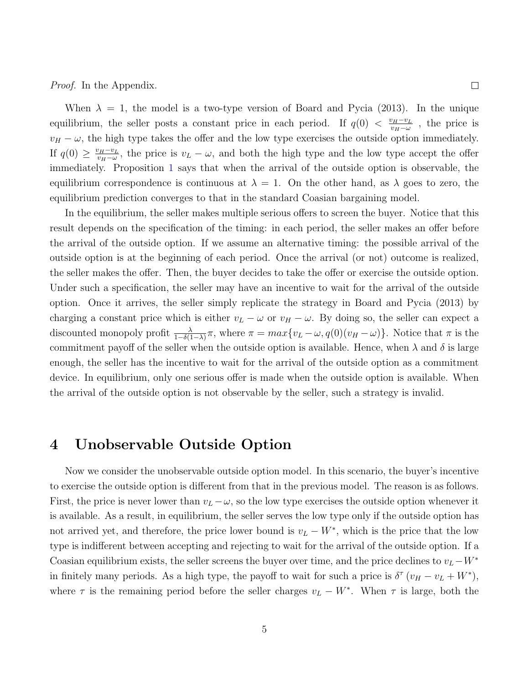Proof. In the Appendix.

When  $\lambda = 1$ , the model is a two-type version of Board and Pycia (2013). In the unique equilibrium, the seller posts a constant price in each period. If  $q(0) < \frac{v_H - v_L}{v_H - v_L}$  $\frac{\nu_H - \nu_L}{\nu_H - \omega}$ , the price is  $v_H - \omega$ , the high type takes the offer and the low type exercises the outside option immediately. If  $q(0) \geq \frac{v_H - v_L}{v_H - v_L}$  $v_H-v_L$ , the price is  $v_L - \omega$ , and both the high type and the low type accept the offer immediately. Proposition [1](#page-4-2) says that when the arrival of the outside option is observable, the equilibrium correspondence is continuous at  $\lambda = 1$ . On the other hand, as  $\lambda$  goes to zero, the equilibrium prediction converges to that in the standard Coasian bargaining model.

In the equilibrium, the seller makes multiple serious offers to screen the buyer. Notice that this result depends on the specification of the timing: in each period, the seller makes an offer before the arrival of the outside option. If we assume an alternative timing: the possible arrival of the outside option is at the beginning of each period. Once the arrival (or not) outcome is realized, the seller makes the offer. Then, the buyer decides to take the offer or exercise the outside option. Under such a specification, the seller may have an incentive to wait for the arrival of the outside option. Once it arrives, the seller simply replicate the strategy in Board and Pycia (2013) by charging a constant price which is either  $v_L - \omega$  or  $v_H - \omega$ . By doing so, the seller can expect a discounted monopoly profit  $\frac{\lambda}{1-\delta(1-\lambda)}\pi$ , where  $\pi = max\{v_L - \omega, q(0)(v_H - \omega)\}\.$  Notice that  $\pi$  is the commitment payoff of the seller when the outside option is available. Hence, when  $\lambda$  and  $\delta$  is large enough, the seller has the incentive to wait for the arrival of the outside option as a commitment device. In equilibrium, only one serious offer is made when the outside option is available. When the arrival of the outside option is not observable by the seller, such a strategy is invalid.

#### <span id="page-5-0"></span>4 Unobservable Outside Option

Now we consider the unobservable outside option model. In this scenario, the buyer's incentive to exercise the outside option is different from that in the previous model. The reason is as follows. First, the price is never lower than  $v_L - \omega$ , so the low type exercises the outside option whenever it is available. As a result, in equilibrium, the seller serves the low type only if the outside option has not arrived yet, and therefore, the price lower bound is  $v_L - W^*$ , which is the price that the low type is indifferent between accepting and rejecting to wait for the arrival of the outside option. If a Coasian equilibrium exists, the seller screens the buyer over time, and the price declines to  $v<sub>L</sub>$ −W<sup>∗</sup> in finitely many periods. As a high type, the payoff to wait for such a price is  $\delta^{\tau} (v_H - v_L + W^*)$ , where  $\tau$  is the remaining period before the seller charges  $v_L - W^*$ . When  $\tau$  is large, both the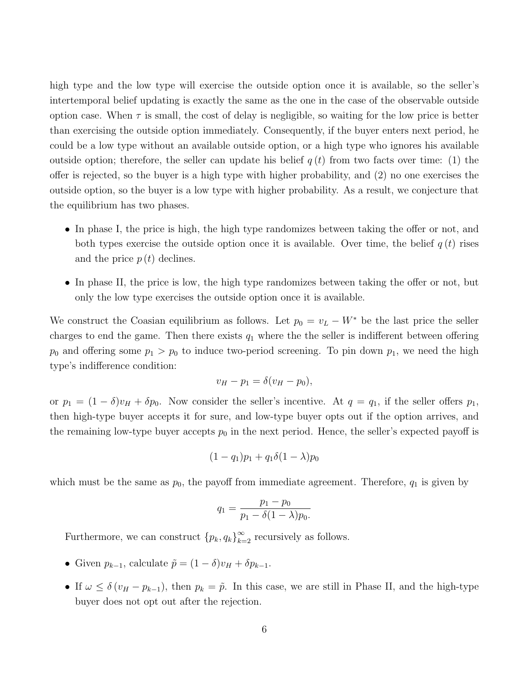high type and the low type will exercise the outside option once it is available, so the seller's intertemporal belief updating is exactly the same as the one in the case of the observable outside option case. When  $\tau$  is small, the cost of delay is negligible, so waiting for the low price is better than exercising the outside option immediately. Consequently, if the buyer enters next period, he could be a low type without an available outside option, or a high type who ignores his available outside option; therefore, the seller can update his belief  $q(t)$  from two facts over time: (1) the offer is rejected, so the buyer is a high type with higher probability, and (2) no one exercises the outside option, so the buyer is a low type with higher probability. As a result, we conjecture that the equilibrium has two phases.

- In phase I, the price is high, the high type randomizes between taking the offer or not, and both types exercise the outside option once it is available. Over time, the belief  $q(t)$  rises and the price  $p(t)$  declines.
- In phase II, the price is low, the high type randomizes between taking the offer or not, but only the low type exercises the outside option once it is available.

We construct the Coasian equilibrium as follows. Let  $p_0 = v_L - W^*$  be the last price the seller charges to end the game. Then there exists  $q_1$  where the seller is indifferent between offering  $p_0$  and offering some  $p_1 > p_0$  to induce two-period screening. To pin down  $p_1$ , we need the high type's indifference condition:

$$
v_H - p_1 = \delta(v_H - p_0),
$$

or  $p_1 = (1 - \delta)v_H + \delta p_0$ . Now consider the seller's incentive. At  $q = q_1$ , if the seller offers  $p_1$ , then high-type buyer accepts it for sure, and low-type buyer opts out if the option arrives, and the remaining low-type buyer accepts  $p_0$  in the next period. Hence, the seller's expected payoff is

$$
(1 - q_1)p_1 + q_1\delta(1 - \lambda)p_0
$$

which must be the same as  $p_0$ , the payoff from immediate agreement. Therefore,  $q_1$  is given by

$$
q_1 = \frac{p_1 - p_0}{p_1 - \delta(1 - \lambda)p_0}.
$$

Furthermore, we can construct  ${p_k, q_k}_{k=2}^{\infty}$  recursively as follows.

- Given  $p_{k-1}$ , calculate  $\tilde{p} = (1 \delta)v_H + \delta p_{k-1}$ .
- If  $\omega \leq \delta (v_H p_{k-1})$ , then  $p_k = \tilde{p}$ . In this case, we are still in Phase II, and the high-type buyer does not opt out after the rejection.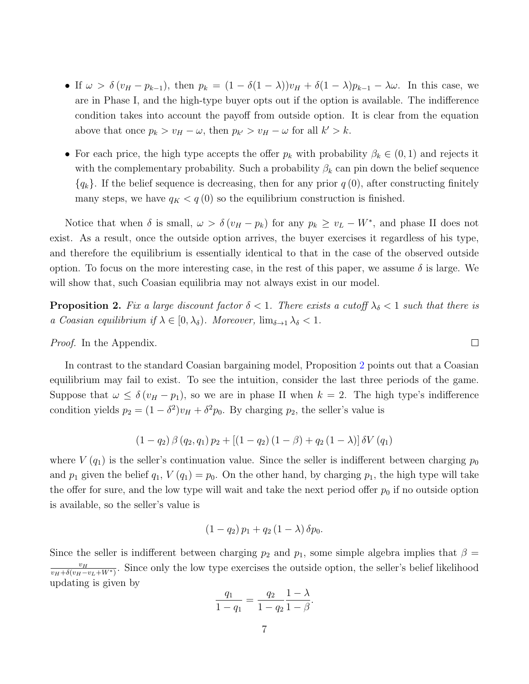- If  $\omega > \delta (v_H p_{k-1})$ , then  $p_k = (1 \delta(1 \lambda))v_H + \delta(1 \lambda)p_{k-1} \lambda \omega$ . In this case, we are in Phase I, and the high-type buyer opts out if the option is available. The indifference condition takes into account the payoff from outside option. It is clear from the equation above that once  $p_k > v_H - \omega$ , then  $p_{k'} > v_H - \omega$  for all  $k' > k$ .
- For each price, the high type accepts the offer  $p_k$  with probability  $\beta_k \in (0,1)$  and rejects it with the complementary probability. Such a probability  $\beta_k$  can pin down the belief sequence  ${q_k}$ . If the belief sequence is decreasing, then for any prior  $q(0)$ , after constructing finitely many steps, we have  $q_K < q(0)$  so the equilibrium construction is finished.

Notice that when  $\delta$  is small,  $\omega > \delta(v_H - p_k)$  for any  $p_k \ge v_L - W^*$ , and phase II does not exist. As a result, once the outside option arrives, the buyer exercises it regardless of his type, and therefore the equilibrium is essentially identical to that in the case of the observed outside option. To focus on the more interesting case, in the rest of this paper, we assume  $\delta$  is large. We will show that, such Coasian equilibria may not always exist in our model.

<span id="page-7-0"></span>**Proposition 2.** Fix a large discount factor  $\delta < 1$ . There exists a cutoff  $\lambda_{\delta} < 1$  such that there is a Coasian equilibrium if  $\lambda \in [0, \lambda_{\delta})$ . Moreover,  $\lim_{\delta \to 1} \lambda_{\delta} < 1$ .

Proof. In the Appendix.

In contrast to the standard Coasian bargaining model, Proposition [2](#page-7-0) points out that a Coasian equilibrium may fail to exist. To see the intuition, consider the last three periods of the game. Suppose that  $\omega \leq \delta (v_H - p_1)$ , so we are in phase II when  $k = 2$ . The high type's indifference condition yields  $p_2 = (1 - \delta^2)v_H + \delta^2 p_0$ . By charging  $p_2$ , the seller's value is

$$
(1 - q_2) \beta (q_2, q_1) p_2 + [(1 - q_2) (1 - \beta) + q_2 (1 - \lambda)] \delta V (q_1)
$$

where  $V(q_1)$  is the seller's continuation value. Since the seller is indifferent between charging  $p_0$ and  $p_1$  given the belief  $q_1$ ,  $V(q_1) = p_0$ . On the other hand, by charging  $p_1$ , the high type will take the offer for sure, and the low type will wait and take the next period offer  $p_0$  if no outside option is available, so the seller's value is

$$
(1 - q_2) p_1 + q_2 (1 - \lambda) \delta p_0.
$$

Since the seller is indifferent between charging  $p_2$  and  $p_1$ , some simple algebra implies that  $\beta =$  $v_H$  $\frac{v_H}{v_H+\delta(v_H-v_L+W^*)}$ . Since only the low type exercises the outside option, the seller's belief likelihood updating is given by

$$
\frac{q_1}{1-q_1} = \frac{q_2}{1-q_2} \frac{1-\lambda}{1-\beta}.
$$

 $\Box$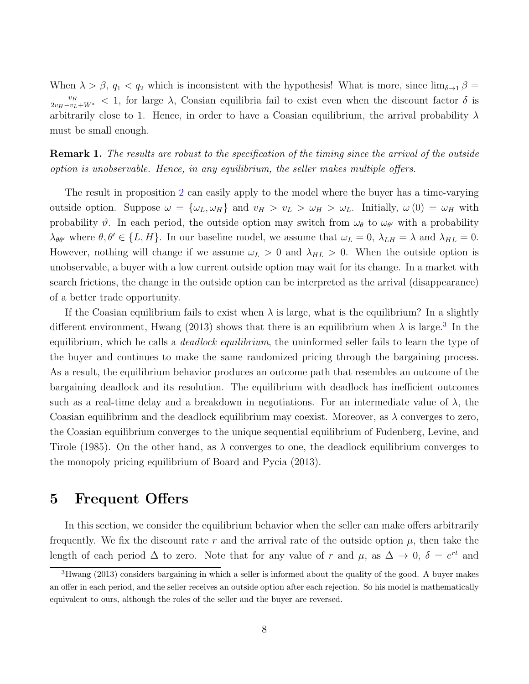When  $\lambda > \beta$ ,  $q_1 < q_2$  which is inconsistent with the hypothesis! What is more, since  $\lim_{\delta \to 1} \beta =$  $\frac{v_H}{2v_H-v_L+W^*}$  < 1, for large  $\lambda$ , Coasian equilibria fail to exist even when the discount factor  $\delta$  is arbitrarily close to 1. Hence, in order to have a Coasian equilibrium, the arrival probability  $\lambda$ must be small enough.

**Remark 1.** The results are robust to the specification of the timing since the arrival of the outside option is unobservable. Hence, in any equilibrium, the seller makes multiple offers.

The result in proposition [2](#page-7-0) can easily apply to the model where the buyer has a time-varying outside option. Suppose  $\omega = {\omega_L, \omega_H}$  and  $v_H > v_L > \omega_H > \omega_L$ . Initially,  $\omega(0) = \omega_H$  with probability  $\vartheta$ . In each period, the outside option may switch from  $\omega_{\theta}$  to  $\omega_{\theta'}$  with a probability  $\lambda_{\theta\theta'}$  where  $\theta, \theta' \in \{L, H\}$ . In our baseline model, we assume that  $\omega_L = 0$ ,  $\lambda_{LH} = \lambda$  and  $\lambda_{HL} = 0$ . However, nothing will change if we assume  $\omega_L > 0$  and  $\lambda_{HL} > 0$ . When the outside option is unobservable, a buyer with a low current outside option may wait for its change. In a market with search frictions, the change in the outside option can be interpreted as the arrival (disappearance) of a better trade opportunity.

If the Coasian equilibrium fails to exist when  $\lambda$  is large, what is the equilibrium? In a slightly different environment, Hwang (201[3](#page-8-1)) shows that there is an equilibrium when  $\lambda$  is large.<sup>3</sup> In the equilibrium, which he calls a *deadlock equilibrium*, the uninformed seller fails to learn the type of the buyer and continues to make the same randomized pricing through the bargaining process. As a result, the equilibrium behavior produces an outcome path that resembles an outcome of the bargaining deadlock and its resolution. The equilibrium with deadlock has inefficient outcomes such as a real-time delay and a breakdown in negotiations. For an intermediate value of  $\lambda$ , the Coasian equilibrium and the deadlock equilibrium may coexist. Moreover, as  $\lambda$  converges to zero, the Coasian equilibrium converges to the unique sequential equilibrium of Fudenberg, Levine, and Tirole (1985). On the other hand, as  $\lambda$  converges to one, the deadlock equilibrium converges to the monopoly pricing equilibrium of Board and Pycia (2013).

#### <span id="page-8-0"></span>5 Frequent Offers

In this section, we consider the equilibrium behavior when the seller can make offers arbitrarily frequently. We fix the discount rate r and the arrival rate of the outside option  $\mu$ , then take the length of each period  $\Delta$  to zero. Note that for any value of r and  $\mu$ , as  $\Delta \to 0$ ,  $\delta = e^{rt}$  and

<span id="page-8-1"></span><sup>&</sup>lt;sup>3</sup>Hwang (2013) considers bargaining in which a seller is informed about the quality of the good. A buyer makes an offer in each period, and the seller receives an outside option after each rejection. So his model is mathematically equivalent to ours, although the roles of the seller and the buyer are reversed.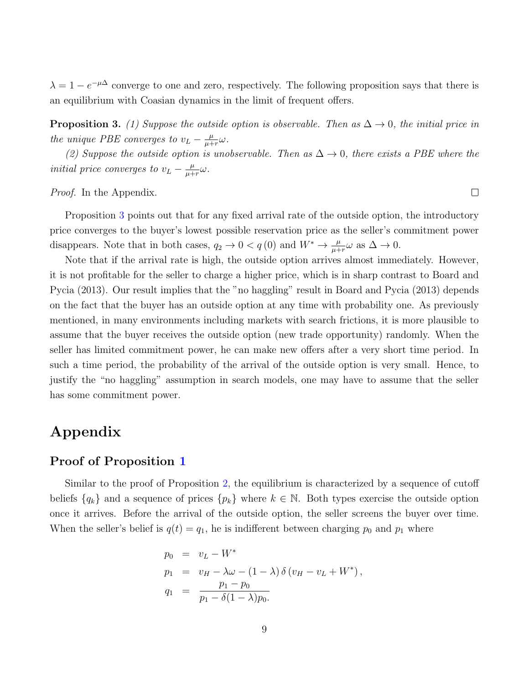$\lambda = 1 - e^{-\mu\Delta}$  converge to one and zero, respectively. The following proposition says that there is an equilibrium with Coasian dynamics in the limit of frequent offers.

<span id="page-9-0"></span>**Proposition 3.** (1) Suppose the outside option is observable. Then as  $\Delta \rightarrow 0$ , the initial price in the unique PBE converges to  $v_L - \frac{\mu}{\mu + \mu}$  $\frac{\mu}{\mu+r}\omega$  .

(2) Suppose the outside option is unobservable. Then as  $\Delta \rightarrow 0$ , there exists a PBE where the initial price converges to  $v_L - \frac{\mu}{\mu + \mu}$  $\frac{\mu}{\mu+r}\omega$  .

 $\Box$ 

Proof. In the Appendix.

Proposition [3](#page-9-0) points out that for any fixed arrival rate of the outside option, the introductory price converges to the buyer's lowest possible reservation price as the seller's commitment power disappears. Note that in both cases,  $q_2 \to 0 < q(0)$  and  $W^* \to \frac{\mu}{\mu + r} \omega$  as  $\Delta \to 0$ .

Note that if the arrival rate is high, the outside option arrives almost immediately. However, it is not profitable for the seller to charge a higher price, which is in sharp contrast to Board and Pycia (2013). Our result implies that the "no haggling" result in Board and Pycia (2013) depends on the fact that the buyer has an outside option at any time with probability one. As previously mentioned, in many environments including markets with search frictions, it is more plausible to assume that the buyer receives the outside option (new trade opportunity) randomly. When the seller has limited commitment power, he can make new offers after a very short time period. In such a time period, the probability of the arrival of the outside option is very small. Hence, to justify the "no haggling" assumption in search models, one may have to assume that the seller has some commitment power.

## Appendix

#### Proof of Proposition [1](#page-4-2)

Similar to the proof of Proposition [2,](#page-7-0) the equilibrium is characterized by a sequence of cutoff beliefs  $\{q_k\}$  and a sequence of prices  $\{p_k\}$  where  $k \in \mathbb{N}$ . Both types exercise the outside option once it arrives. Before the arrival of the outside option, the seller screens the buyer over time. When the seller's belief is  $q(t) = q_1$ , he is indifferent between charging  $p_0$  and  $p_1$  where

$$
p_0 = v_L - W^*
$$
  
\n
$$
p_1 = v_H - \lambda \omega - (1 - \lambda) \delta (v_H - v_L + W^*),
$$
  
\n
$$
q_1 = \frac{p_1 - p_0}{p_1 - \delta (1 - \lambda) p_0}.
$$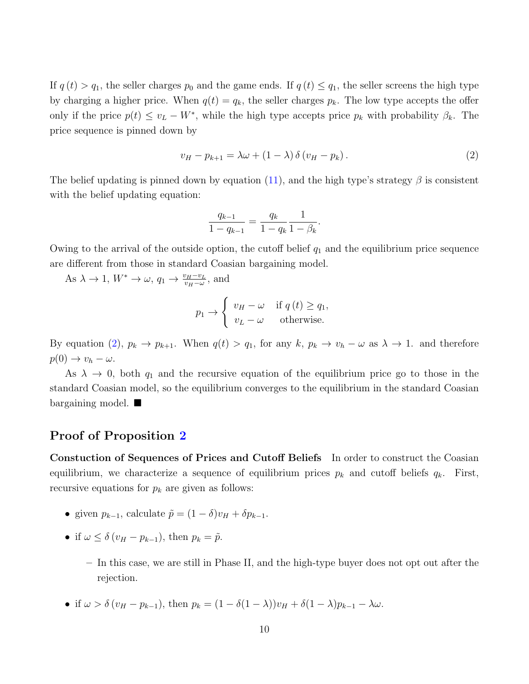If  $q(t) > q_1$ , the seller charges  $p_0$  and the game ends. If  $q(t) \leq q_1$ , the seller screens the high type by charging a higher price. When  $q(t) = q_k$ , the seller charges  $p_k$ . The low type accepts the offer only if the price  $p(t) \le v_L - W^*$ , while the high type accepts price  $p_k$  with probability  $\beta_k$ . The price sequence is pinned down by

<span id="page-10-0"></span>
$$
v_H - p_{k+1} = \lambda \omega + (1 - \lambda) \delta \left( v_H - p_k \right). \tag{2}
$$

The belief updating is pinned down by equation [\(11\)](#page-13-0), and the high type's strategy  $\beta$  is consistent with the belief updating equation:

$$
\frac{q_{k-1}}{1-q_{k-1}} = \frac{q_k}{1-q_k} \frac{1}{1-\beta_k}.
$$

Owing to the arrival of the outside option, the cutoff belief  $q_1$  and the equilibrium price sequence are different from those in standard Coasian bargaining model.

As  $\lambda \to 1$ ,  $W^* \to \omega$ ,  $q_1 \to \frac{v_H - v_L}{v_H - \omega}$ , and

$$
p_1 \to \begin{cases} v_H - \omega & \text{if } q(t) \ge q_1, \\ v_L - \omega & \text{otherwise.} \end{cases}
$$

By equation [\(2\)](#page-10-0),  $p_k \to p_{k+1}$ . When  $q(t) > q_1$ , for any  $k, p_k \to v_h - \omega$  as  $\lambda \to 1$ . and therefore  $p(0) \to v_h - \omega.$ 

As  $\lambda \to 0$ , both  $q_1$  and the recursive equation of the equilibrium price go to those in the standard Coasian model, so the equilibrium converges to the equilibrium in the standard Coasian bargaining model.

#### Proof of Proposition [2](#page-7-0)

Constuction of Sequences of Prices and Cutoff Beliefs In order to construct the Coasian equilibrium, we characterize a sequence of equilibrium prices  $p_k$  and cutoff beliefs  $q_k$ . First, recursive equations for  $p_k$  are given as follows:

- given  $p_{k-1}$ , calculate  $\tilde{p} = (1 \delta)v_H + \delta p_{k-1}$ .
- if  $\omega \leq \delta (v_H p_{k-1}),$  then  $p_k = \tilde{p}$ .
	- In this case, we are still in Phase II, and the high-type buyer does not opt out after the rejection.
- if  $\omega > \delta (v_H p_{k-1})$ , then  $p_k = (1 \delta(1 \lambda))v_H + \delta(1 \lambda)p_{k-1} \lambda \omega$ .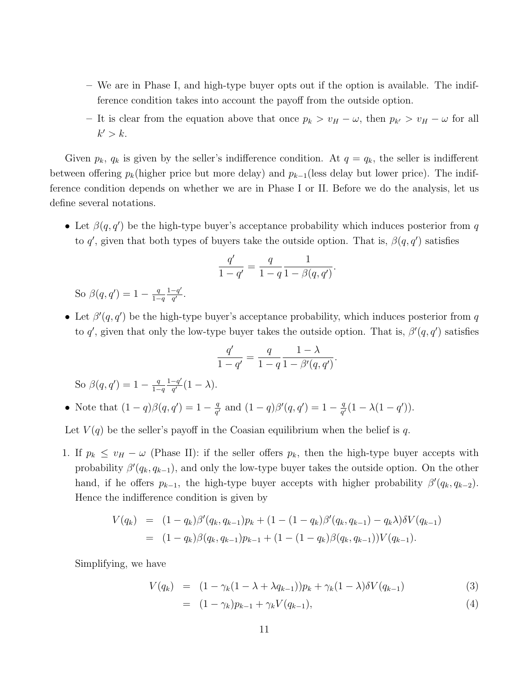- We are in Phase I, and high-type buyer opts out if the option is available. The indifference condition takes into account the payoff from the outside option.
- It is clear from the equation above that once  $p_k > v_H ω$ , then  $p_{k'} > v_H ω$  for all  $k' > k$ .

Given  $p_k$ ,  $q_k$  is given by the seller's indifference condition. At  $q = q_k$ , the seller is indifferent between offering  $p_k$ (higher price but more delay) and  $p_{k-1}$ (less delay but lower price). The indifference condition depends on whether we are in Phase I or II. Before we do the analysis, let us define several notations.

• Let  $\beta(q, q')$  be the high-type buyer's acceptance probability which induces posterior from q to q', given that both types of buyers take the outside option. That is,  $\beta(q, q')$  satisfies

$$
\frac{q'}{1-q'} = \frac{q}{1-q} \frac{1}{1-\beta(q,q')}.
$$

So  $\beta(q,q') = 1 - \frac{q}{1-q}$  $1-q$  $1-q'$  $\frac{-q'}{q'}$  .

• Let  $\beta'(q, q')$  be the high-type buyer's acceptance probability, which induces posterior from q to q', given that only the low-type buyer takes the outside option. That is,  $\beta'(q, q')$  satisfies

$$
\frac{q'}{1-q'}=\frac{q}{1-q}\frac{1-\lambda}{1-\beta'(q,q')}.
$$

So  $\beta(q,q') = 1 - \frac{q}{1-q}$  $1-q$  $1-q'$  $\frac{-q'}{q'}(1-\lambda).$ 

• Note that  $(1-q)\beta(q,q') = 1 - \frac{q}{q'}$  $\frac{q}{q'}$  and  $(1-q)\beta'(q,q') = 1 - \frac{q}{q'}$  $\frac{q}{q'}(1 - \lambda(1 - q')).$ 

Let  $V(q)$  be the seller's payoff in the Coasian equilibrium when the belief is q.

1. If  $p_k \leq v_H - \omega$  (Phase II): if the seller offers  $p_k$ , then the high-type buyer accepts with probability  $\beta'(q_k, q_{k-1})$ , and only the low-type buyer takes the outside option. On the other hand, if he offers  $p_{k-1}$ , the high-type buyer accepts with higher probability  $\beta'(q_k, q_{k-2})$ . Hence the indifference condition is given by

$$
V(q_k) = (1 - q_k)\beta'(q_k, q_{k-1})p_k + (1 - (1 - q_k)\beta'(q_k, q_{k-1}) - q_k\lambda)\delta V(q_{k-1})
$$
  
= 
$$
(1 - q_k)\beta(q_k, q_{k-1})p_{k-1} + (1 - (1 - q_k)\beta(q_k, q_{k-1}))V(q_{k-1}).
$$

Simplifying, we have

<span id="page-11-0"></span>
$$
V(q_k) = (1 - \gamma_k(1 - \lambda + \lambda q_{k-1}))p_k + \gamma_k(1 - \lambda)\delta V(q_{k-1})
$$
\n(3)

$$
= (1 - \gamma_k)p_{k-1} + \gamma_k V(q_{k-1}), \tag{4}
$$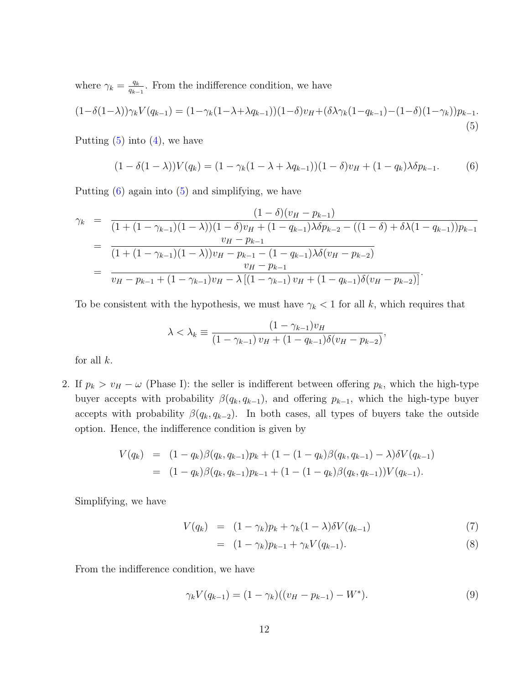where  $\gamma_k = \frac{q_k}{q_k}$  $\frac{q_k}{q_{k-1}}$ . From the indifference condition, we have

<span id="page-12-0"></span>
$$
(1 - \delta(1 - \lambda))\gamma_k V(q_{k-1}) = (1 - \gamma_k(1 - \lambda + \lambda q_{k-1}))(1 - \delta)v_H + (\delta \lambda \gamma_k (1 - q_{k-1}) - (1 - \delta)(1 - \gamma_k))p_{k-1}.
$$
\n(5)

Putting  $(5)$  into  $(4)$ , we have

<span id="page-12-1"></span>
$$
(1 - \delta(1 - \lambda))V(q_k) = (1 - \gamma_k(1 - \lambda + \lambda q_{k-1}))(1 - \delta)v_H + (1 - q_k)\lambda \delta p_{k-1}.
$$
 (6)

Putting [\(6\)](#page-12-1) again into [\(5\)](#page-12-0) and simplifying, we have

$$
\gamma_k = \frac{(1-\delta)(v_H - p_{k-1})}{(1 + (1 - \gamma_{k-1})(1 - \lambda))(1 - \delta)v_H + (1 - q_{k-1})\lambda \delta p_{k-2} - ((1 - \delta) + \delta\lambda(1 - q_{k-1}))p_{k-1}} \\
= \frac{v_H - p_{k-1}}{(1 + (1 - \gamma_{k-1})(1 - \lambda))v_H - p_{k-1} - (1 - q_{k-1})\lambda \delta(v_H - p_{k-2})} \\
= \frac{v_H - p_{k-1}}{v_H - p_{k-1} + (1 - \gamma_{k-1})v_H - \lambda [(1 - \gamma_{k-1})v_H + (1 - q_{k-1})\delta(v_H - p_{k-2})]}.
$$

To be consistent with the hypothesis, we must have  $\gamma_k < 1$  for all k, which requires that

$$
\lambda < \lambda_k \equiv \frac{(1 - \gamma_{k-1})v_H}{(1 - \gamma_{k-1})v_H + (1 - q_{k-1})\delta(v_H - p_{k-2})},
$$

for all  $k$ .

2. If  $p_k > v_H - \omega$  (Phase I): the seller is indifferent between offering  $p_k$ , which the high-type buyer accepts with probability  $\beta(q_k, q_{k-1})$ , and offering  $p_{k-1}$ , which the high-type buyer accepts with probability  $\beta(q_k, q_{k-2})$ . In both cases, all types of buyers take the outside option. Hence, the indifference condition is given by

$$
V(q_k) = (1 - q_k)\beta(q_k, q_{k-1})p_k + (1 - (1 - q_k)\beta(q_k, q_{k-1}) - \lambda)\delta V(q_{k-1})
$$
  
= 
$$
(1 - q_k)\beta(q_k, q_{k-1})p_{k-1} + (1 - (1 - q_k)\beta(q_k, q_{k-1}))V(q_{k-1}).
$$

Simplifying, we have

<span id="page-12-3"></span>
$$
V(q_k) = (1 - \gamma_k)p_k + \gamma_k(1 - \lambda)\delta V(q_{k-1})
$$
\n
$$
(7)
$$

$$
= (1 - \gamma_k) p_{k-1} + \gamma_k V(q_{k-1}). \tag{8}
$$

From the indifference condition, we have

<span id="page-12-2"></span>
$$
\gamma_k V(q_{k-1}) = (1 - \gamma_k)((v_H - p_{k-1}) - W^*).
$$
\n(9)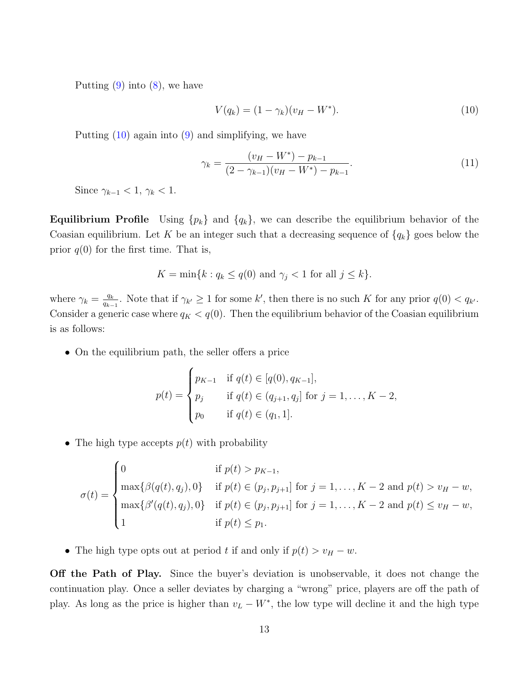Putting  $(9)$  into  $(8)$ , we have

<span id="page-13-1"></span>
$$
V(q_k) = (1 - \gamma_k)(v_H - W^*).
$$
\n(10)

Putting [\(10\)](#page-13-1) again into [\(9\)](#page-12-2) and simplifying, we have

<span id="page-13-0"></span>
$$
\gamma_k = \frac{(v_H - W^*) - p_{k-1}}{(2 - \gamma_{k-1})(v_H - W^*) - p_{k-1}}.\tag{11}
$$

Since  $\gamma_{k-1} < 1, \gamma_k < 1$ .

**Equilibrium Profile** Using  $\{p_k\}$  and  $\{q_k\}$ , we can describe the equilibrium behavior of the Coasian equilibrium. Let K be an integer such that a decreasing sequence of  $\{q_k\}$  goes below the prior  $q(0)$  for the first time. That is,

$$
K = \min\{k : q_k \le q(0) \text{ and } \gamma_j < 1 \text{ for all } j \le k\}.
$$

where  $\gamma_k = \frac{q_k}{q_k}$  $\frac{q_k}{q_{k-1}}$ . Note that if  $\gamma_{k'} \geq 1$  for some k', then there is no such K for any prior  $q(0) < q_{k'}$ . Consider a generic case where  $q_K < q(0)$ . Then the equilibrium behavior of the Coasian equilibrium is as follows:

• On the equilibrium path, the seller offers a price

$$
p(t) = \begin{cases} p_{K-1} & \text{if } q(t) \in [q(0), q_{K-1}], \\ p_j & \text{if } q(t) \in (q_{j+1}, q_j] \text{ for } j = 1, ..., K-2, \\ p_0 & \text{if } q(t) \in (q_1, 1]. \end{cases}
$$

• The high type accepts  $p(t)$  with probability

$$
\sigma(t) = \begin{cases}\n0 & \text{if } p(t) > p_{K-1}, \\
\max\{\beta(q(t), q_j), 0\} & \text{if } p(t) \in (p_j, p_{j+1}] \text{ for } j = 1, ..., K-2 \text{ and } p(t) > v_H - w, \\
\max\{\beta'(q(t), q_j), 0\} & \text{if } p(t) \in (p_j, p_{j+1}] \text{ for } j = 1, ..., K-2 \text{ and } p(t) \le v_H - w, \\
1 & \text{if } p(t) \le p_1.\n\end{cases}
$$

• The high type opts out at period t if and only if  $p(t) > v_H - w$ .

Off the Path of Play. Since the buyer's deviation is unobservable, it does not change the continuation play. Once a seller deviates by charging a "wrong" price, players are off the path of play. As long as the price is higher than  $v_L - W^*$ , the low type will decline it and the high type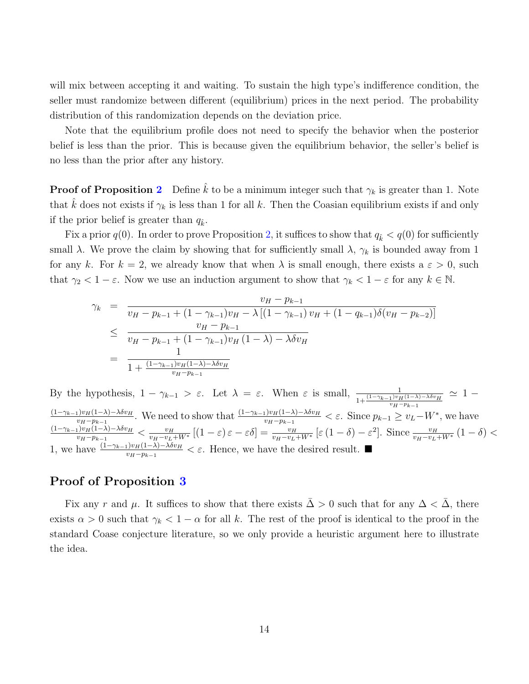will mix between accepting it and waiting. To sustain the high type's indifference condition, the seller must randomize between different (equilibrium) prices in the next period. The probability distribution of this randomization depends on the deviation price.

Note that the equilibrium profile does not need to specify the behavior when the posterior belief is less than the prior. This is because given the equilibrium behavior, the seller's belief is no less than the prior after any history.

**Proof of Proposition [2](#page-7-0)** Define  $\hat{k}$  to be a minimum integer such that  $\gamma_k$  is greater than 1. Note that  $\hat{k}$  does not exists if  $\gamma_k$  is less than 1 for all k. Then the Coasian equilibrium exists if and only if the prior belief is greater than  $q_k$ .

Fix a prior  $q(0)$ . In order to prove Proposition [2,](#page-7-0) it suffices to show that  $q_k < q(0)$  for sufficiently small  $\lambda$ . We prove the claim by showing that for sufficiently small  $\lambda$ ,  $\gamma_k$  is bounded away from 1 for any k. For  $k = 2$ , we already know that when  $\lambda$  is small enough, there exists a  $\varepsilon > 0$ , such that  $\gamma_2 < 1 - \varepsilon$ . Now we use an induction argument to show that  $\gamma_k < 1 - \varepsilon$  for any  $k \in \mathbb{N}$ .

$$
\gamma_k = \frac{v_H - p_{k-1}}{v_H - p_{k-1} + (1 - \gamma_{k-1})v_H - \lambda \left[ (1 - \gamma_{k-1})v_H + (1 - q_{k-1})\delta(v_H - p_{k-2}) \right]}
$$
  
\n
$$
\leq \frac{v_H - p_{k-1}}{v_H - p_{k-1} + (1 - \gamma_{k-1})v_H (1 - \lambda) - \lambda \delta v_H}
$$
  
\n
$$
= \frac{1}{1 + \frac{(1 - \gamma_{k-1})v_H(1 - \lambda) - \lambda \delta v_H}{v_H - p_{k-1}}}
$$

By the hypothesis,  $1 - \gamma_{k-1} > \varepsilon$ . Let  $\lambda = \varepsilon$ . When  $\varepsilon$  is small,  $\frac{1}{1 + \frac{(1 - \gamma_{k-1})v_H(1 - \lambda) - \lambda \delta v_H}{v_H(\lambda - \lambda)} \simeq 1$  $v_H-p_{k-1}$  $(1-\gamma_{k-1})v_H(1-\lambda)-\lambda \delta v_H$  $\frac{\mu_1|v_H(1-\lambda)-\lambda\delta v_H}{v_H-p_{k-1}}$ . We need to show that  $\frac{(1-\gamma_{k-1})v_H(1-\lambda)-\lambda\delta v_H}{v_H-p_{k-1}} < \varepsilon$ . Since  $p_{k-1} \ge v_L-W^*$ , we have  $(1-\gamma_{k-1})v_H(1-\lambda)-\lambda \delta v_H$  $\frac{\partial u_{H}(1-\lambda)-\lambda\delta v_{H}}{v_{H}-v_{L}+W^{*}}\left[(1-\varepsilon)\varepsilon-\varepsilon\delta\right]=\frac{v_{H}}{v_{H}-v_{L}+W^{*}}\left[\varepsilon\left(1-\delta\right)-\varepsilon^{2}\right].$  Since  $\frac{v_{H}}{v_{H}-v_{L}+W^{*}}\left(1-\delta\right)<\frac{v_{H}+v_{L}+W^{*}}{v_{H}-v_{L}+W^{*}}$ 1, we have  $\frac{(1-\gamma_{k-1})\nu_H(1-\lambda)-\lambda \delta \nu_H}{\nu_H-\mu_{k-1}} < \varepsilon$ . Hence, we have the desired result. ■

#### Proof of Proposition [3](#page-9-0)

Fix any r and  $\mu$ . It suffices to show that there exists  $\overline{\Delta} > 0$  such that for any  $\Delta < \overline{\Delta}$ , there exists  $\alpha > 0$  such that  $\gamma_k < 1 - \alpha$  for all k. The rest of the proof is identical to the proof in the standard Coase conjecture literature, so we only provide a heuristic argument here to illustrate the idea.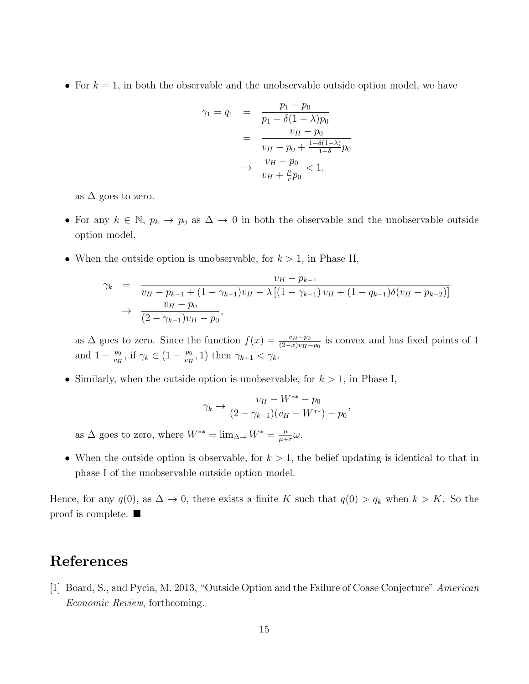• For  $k = 1$ , in both the observable and the unobservable outside option model, we have

$$
\gamma_1 = q_1 = \frac{p_1 - p_0}{p_1 - \delta(1 - \lambda)p_0}
$$

$$
= \frac{v_H - p_0}{v_H - p_0 + \frac{1 - \delta(1 - \lambda)}{1 - \delta}p_0}
$$

$$
\rightarrow \frac{v_H - p_0}{v_H + \frac{\mu}{r}p_0} < 1,
$$

as  $\Delta$  goes to zero.

- For any  $k \in \mathbb{N}$ ,  $p_k \to p_0$  as  $\Delta \to 0$  in both the observable and the unobservable outside option model.
- When the outside option is unobservable, for  $k > 1$ , in Phase II,

$$
\gamma_k = \frac{v_H - p_{k-1}}{v_H - p_{k-1} + (1 - \gamma_{k-1})v_H - \lambda \left[ (1 - \gamma_{k-1})v_H + (1 - q_{k-1})\delta(v_H - p_{k-2}) \right]} \\
\rightarrow \frac{v_H - p_0}{(2 - \gamma_{k-1})v_H - p_0},
$$

as  $\Delta$  goes to zero. Since the function  $f(x) = \frac{v_H - p_0}{(2-x)v_H - p_0}$  is convex and has fixed points of 1 and  $1 - \frac{p_0}{p_0}$  $\frac{p_0}{v_H}$ , if  $\gamma_k \in (1 - \frac{p_0}{v_H})$  $\frac{p_0}{v_H}$ , 1) then  $\gamma_{k+1} < \gamma_k$ .

• Similarly, when the outside option is unobservable, for  $k > 1$ , in Phase I,

$$
\gamma_k \to \frac{v_H - W^{**} - p_0}{(2 - \gamma_{k-1})(v_H - W^{**}) - p_0},
$$

as  $\Delta$  goes to zero, where  $W^{**} = \lim_{\Delta \to 0} W^* = \frac{\mu}{\mu + \Delta}$  $\frac{\mu}{\mu+r}\omega.$ 

• When the outside option is observable, for  $k > 1$ , the belief updating is identical to that in phase I of the unobservable outside option model.

Hence, for any  $q(0)$ , as  $\Delta \to 0$ , there exists a finite K such that  $q(0) > q_k$  when  $k > K$ . So the proof is complete.  $\blacksquare$ 

## References

[1] Board, S., and Pycia, M. 2013, "Outside Option and the Failure of Coase Conjecture" American Economic Review, forthcoming.